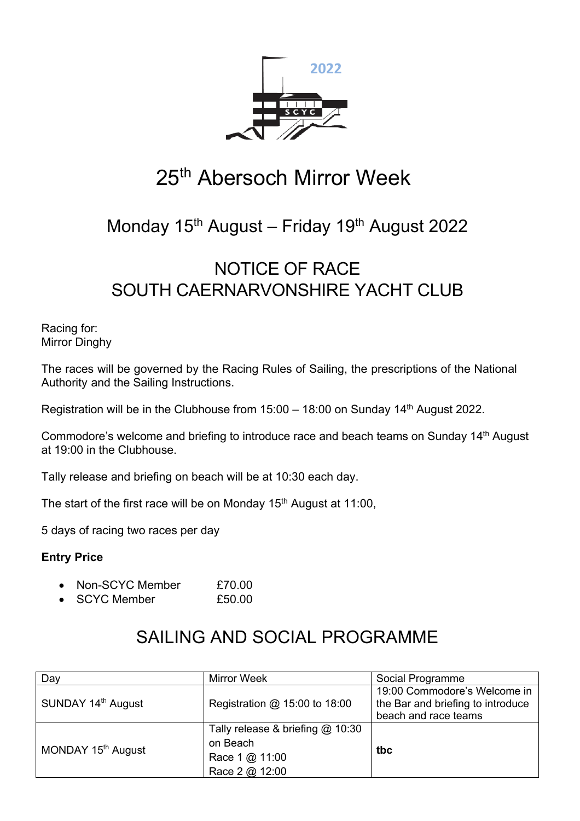

# 25<sup>th</sup> Abersoch Mirror Week

## Monday  $15<sup>th</sup>$  August – Friday  $19<sup>th</sup>$  August 2022

## NOTICE OF RACE SOUTH CAERNARVONSHIRE YACHT CLUB

Racing for: Mirror Dinghy

The races will be governed by the Racing Rules of Sailing, the prescriptions of the National Authority and the Sailing Instructions.

Registration will be in the Clubhouse from 15:00 – 18:00 on Sunday 14<sup>th</sup> August 2022.

Commodore's welcome and briefing to introduce race and beach teams on Sunday 14<sup>th</sup> August at 19:00 in the Clubhouse.

Tally release and briefing on beach will be at 10:30 each day.

The start of the first race will be on Monday  $15<sup>th</sup>$  August at 11:00,

5 days of racing two races per day

### **Entry Price**

- Non-SCYC Member £70.00
- SCYC Member £50.00

### SAILING AND SOCIAL PROGRAMME

| Day                            | <b>Mirror Week</b>                 | Social Programme                  |
|--------------------------------|------------------------------------|-----------------------------------|
| SUNDAY 14 <sup>th</sup> August | Registration @ 15:00 to 18:00      | 19:00 Commodore's Welcome in      |
|                                |                                    | the Bar and briefing to introduce |
|                                |                                    | beach and race teams              |
| MONDAY 15 <sup>th</sup> August | Tally release & briefing $@$ 10:30 |                                   |
|                                | on Beach                           | tbc                               |
|                                | Race 1 @ 11:00                     |                                   |
|                                | Race 2 @ 12:00                     |                                   |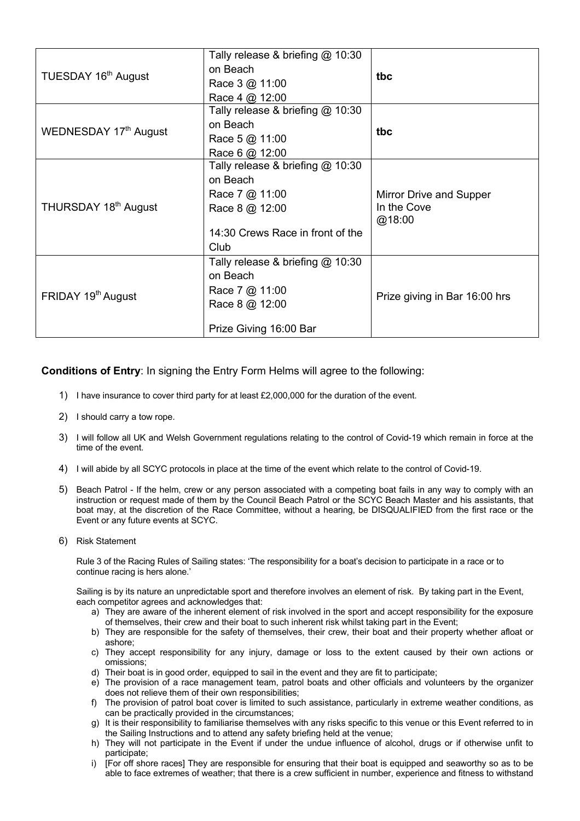| TUESDAY 16 <sup>th</sup> August  | Tally release & briefing @ 10:30   |                               |
|----------------------------------|------------------------------------|-------------------------------|
|                                  | on Beach                           | tbc                           |
|                                  | Race $3 @ 11:00$                   |                               |
|                                  | Race 4 @ 12:00                     |                               |
| WEDNESDAY 17th August            | Tally release & briefing $@$ 10:30 |                               |
|                                  | on Beach                           | tbc                           |
|                                  | Race 5 @ 11:00                     |                               |
|                                  | Race 6 @ 12:00                     |                               |
| THURSDAY 18 <sup>th</sup> August | Tally release & briefing $@$ 10:30 |                               |
|                                  | on Beach                           |                               |
|                                  | Race 7 @ 11:00                     | Mirror Drive and Supper       |
|                                  | Race 8 @ 12:00                     | In the Cove                   |
|                                  |                                    | @18:00                        |
|                                  | 14:30 Crews Race in front of the   |                               |
|                                  | Club                               |                               |
| FRIDAY 19 <sup>th</sup> August   | Tally release & briefing @ 10:30   |                               |
|                                  | on Beach                           |                               |
|                                  | Race 7 @ 11:00                     |                               |
|                                  | Race 8 @ 12:00                     | Prize giving in Bar 16:00 hrs |
|                                  |                                    |                               |
|                                  | Prize Giving 16:00 Bar             |                               |

**Conditions of Entry**: In signing the Entry Form Helms will agree to the following:

- 1) I have insurance to cover third party for at least £2,000,000 for the duration of the event.
- 2) I should carry a tow rope.
- 3) I will follow all UK and Welsh Government regulations relating to the control of Covid-19 which remain in force at the time of the event.
- 4) I will abide by all SCYC protocols in place at the time of the event which relate to the control of Covid-19.
- 5) Beach Patrol If the helm, crew or any person associated with a competing boat fails in any way to comply with an instruction or request made of them by the Council Beach Patrol or the SCYC Beach Master and his assistants, that boat may, at the discretion of the Race Committee, without a hearing, be DISQUALIFIED from the first race or the Event or any future events at SCYC.
- 6) Risk Statement

Rule 3 of the Racing Rules of Sailing states: 'The responsibility for a boat's decision to participate in a race or to continue racing is hers alone.'

Sailing is by its nature an unpredictable sport and therefore involves an element of risk. By taking part in the Event, each competitor agrees and acknowledges that:

- a) They are aware of the inherent element of risk involved in the sport and accept responsibility for the exposure of themselves, their crew and their boat to such inherent risk whilst taking part in the Event;
- b) They are responsible for the safety of themselves, their crew, their boat and their property whether afloat or ashore;
- c) They accept responsibility for any injury, damage or loss to the extent caused by their own actions or omissions;
- d) Their boat is in good order, equipped to sail in the event and they are fit to participate;
- e) The provision of a race management team, patrol boats and other officials and volunteers by the organizer does not relieve them of their own responsibilities;
- f) The provision of patrol boat cover is limited to such assistance, particularly in extreme weather conditions, as can be practically provided in the circumstances;
- g) It is their responsibility to familiarise themselves with any risks specific to this venue or this Event referred to in the Sailing Instructions and to attend any safety briefing held at the venue;
- h) They will not participate in the Event if under the undue influence of alcohol, drugs or if otherwise unfit to participate;
- i) [For off shore races] They are responsible for ensuring that their boat is equipped and seaworthy so as to be able to face extremes of weather; that there is a crew sufficient in number, experience and fitness to withstand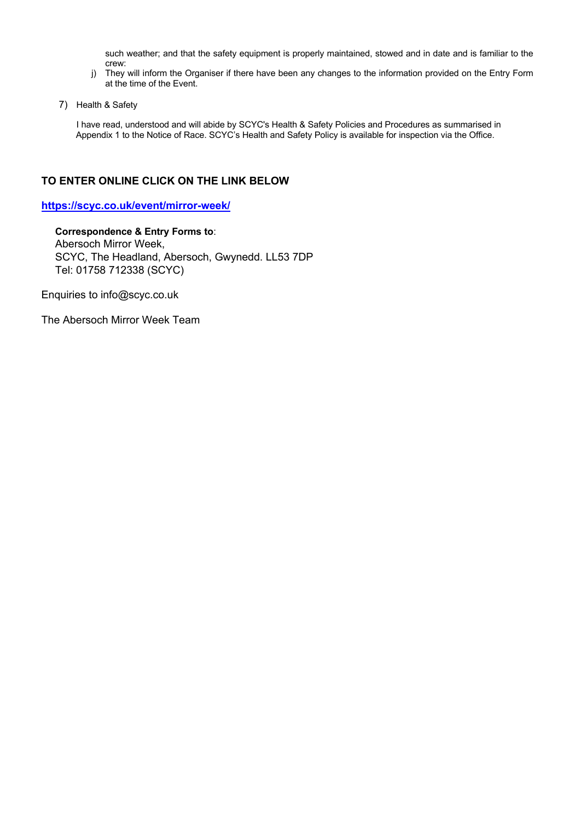such weather; and that the safety equipment is properly maintained, stowed and in date and is familiar to the crew:

- j) They will inform the Organiser if there have been any changes to the information provided on the Entry Form at the time of the Event.
- 7) Health & Safety

I have read, understood and will abide by SCYC's Health & Safety Policies and Procedures as summarised in Appendix 1 to the Notice of Race. SCYC's Health and Safety Policy is available for inspection via the Office.

### **TO ENTER ONLINE CLICK ON THE LINK BELOW**

**https://scyc.co.uk/event/mirror-week/** 

**Correspondence & Entry Forms to**: Abersoch Mirror Week, SCYC, The Headland, Abersoch, Gwynedd. LL53 7DP Tel: 01758 712338 (SCYC)

Enquiries to info@scyc.co.uk

The Abersoch Mirror Week Team